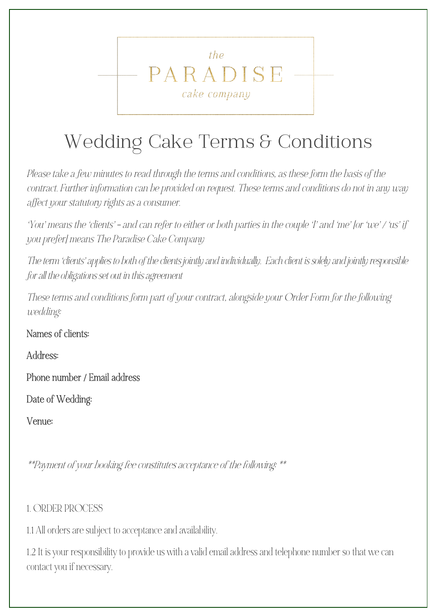

# Wedding Cake Terms & Conditions

*Please take a few minutes to read through the terms and conditions, as these form the basis of the contract. Further information can be provided on request. These terms and conditions do not in any way affect your statutory rights as a consumer.*

*'You' means the 'clients' – and can refer to either or both parties in the couple 'I' and 'me' [or 'we' / 'us' if you prefer] means The Paradise Cake Company* 

*The term 'clients' applies to both of the clients jointly and individually. Each client is solely and jointly responsible for all the obligations set out in this agreement*

*These terms and conditions form part of your contract, alongside your Order Form for the following wedding:*

Names of clients:

Address:

Phone number / Email address

Date of Wedding:

Venue:

\*\*Payment of your booking fee constitutes acceptance of the following: \*\*

1. ORDER PROCESS

1.1 All orders are subject to acceptance and availability.

1.2 It is your responsibility to provide us with a valid email address and telephone number so that we can contact you if necessary.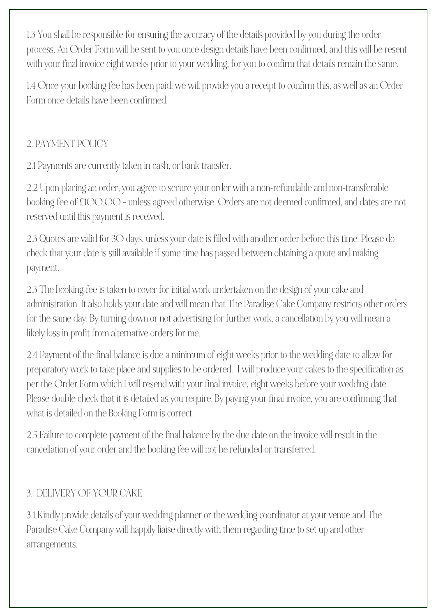1.3 You shall be responsible for ensuring the accuracy of the details provided by you during the order process. An Order Form will be sent to you once design details have been confirmed, and this will be resent with your final invoice eight weeks prior to your wedding, for you to confirm that details remain the same.

1.4 Once your booking fee has been paid, we will provide you a receipt to confirm this, as well as an Order Form once details have been confirmed.

# 2. PAYMENT POLICY

2.1 Payments are currently taken in cash, or bank transfer.

2.2 Upon placing an order, you agree to secure your order with a non-refundable and non-transferable booking fee of £100.00 – unless agreed otherwise. Orders are not deemed confirmed, and dates are not reserved until this payment is received.

2.3 Quotes are valid for 30 days, unless your date is filled with another order before this time. Please do check that your date is still available if some time has passed between obtaining a quote and making payment.

2.3 The booking fee is taken to cover for initial work undertaken on the design of your cake and administration. It also holds your date and will mean that The Paradise Cake Company restricts other orders for the same day. By turning down or not advertising for further work, a cancellation by you will mean a likely loss in profit from alternative orders for me.

2.4 Payment of the final balance is due a minimum of eight weeks prior to the wedding date to allow for preparatory work to take place and supplies to be ordered. I will produce your cakes to the specification as per the Order Form which I will resend with your final invoice, eight weeks before your wedding date. Please double check that it is detailed as you require. By paying your final invoice, you are confirming that what is detailed on the Booking Form is correct.

2.5 Failure to complete payment of the final balance by the due date on the invoice will result in the cancellation of your order and the booking fee will not be refunded or transferred.

# 3. DELIVERY OF YOUR CAKE

3.1 Kindly provide details of your wedding planner or the wedding coordinator at your venue and The Paradise Cake Company will happily liaise directly with them regarding time to set up and other arrangements.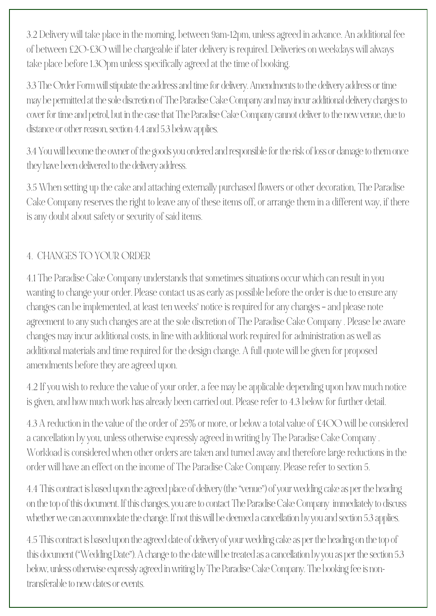3.2 Delivery will take place in the morning, between 9am-12pm, unless agreed in advance. An additional fee of between £20-£30 will be chargeable if later delivery is required. Deliveries on weekdays will always take place before 1.30pm unless specifically agreed at the time of booking.

3.3 The Order Form will stipulate the address and time for delivery. Amendments to the delivery address or time may be permitted at the sole discretion of The Paradise Cake Company and may incur additional delivery charges to cover for time and petrol, but in the case that The Paradise Cake Company cannot deliver to the new venue, due to distance or other reason, section 4.4 and 5.3 below applies.

3.4 You will become the owner of the goods you ordered and responsible for the risk of loss or damage to them once they have been delivered to the delivery address.

3.5 When setting up the cake and attaching externally purchased flowers or other decoration, The Paradise Cake Company reserves the right to leave any of these items off, or arrange them in a different way, if there is any doubt about safety or security of said items.

# 4. CHANGES TO YOUR ORDER

4.1 The Paradise Cake Company understands that sometimes situations occur which can result in you wanting to change your order. Please contact us as early as possible before the order is due to ensure any changes can be implemented, at least ten weeks' notice is required for any changes – and please note agreement to any such changes are at the sole discretion of The Paradise Cake Company . Please be aware changes may incur additional costs, in line with additional work required for administration as well as additional materials and time required for the design change. A full quote will be given for proposed amendments before they are agreed upon.

4.2 If you wish to reduce the value of your order, a fee may be applicable depending upon how much notice is given, and how much work has already been carried out. Please refer to 4.3 below for further detail.

4.3 A reduction in the value of the order of 25% or more, or below a total value of £400 will be considered a cancellation by you, unless otherwise expressly agreed in writing by The Paradise Cake Company . Workload is considered when other orders are taken and turned away and therefore large reductions in the order will have an effect on the income of The Paradise Cake Company. Please refer to section 5.

4.4 This contract is based upon the agreed place of delivery (the "venue") of your wedding cake as per the heading on the top of this document. If this changes, you are to contact The Paradise Cake Company immediately to discuss whether we can accommodate the change. If not this will be deemed a cancellation by you and section 5.3 applies.

4.5 This contract is based upon the agreed date of delivery of your wedding cake as per the heading on the top of this document ("Wedding Date"). A change to the date will be treated as a cancellation by you as per the section 5.3 below, unless otherwise expressly agreed in writing by The Paradise Cake Company. The booking fee is nontransferable to new dates or events.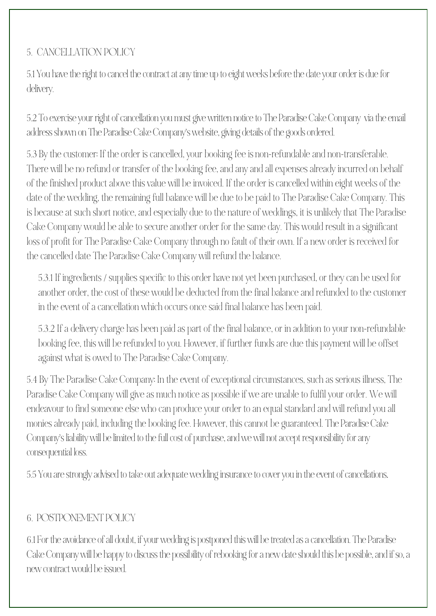# 5. CANCELLATION POLICY

5.1 You have the right to cancel the contract at any time up to eight weeks before the date your order is due for delivery.

5.2 To exercise your right of cancellation you must give written notice to The Paradise Cake Company via the email address shown on The Paradise Cake Company's website, giving details of the goods ordered.

5.3 By the customer: If the order is cancelled, your booking fee is non-refundable and non-transferable. There will be no refund or transfer of the booking fee, and any and all expenses already incurred on behalf of the finished product above this value will be invoiced. If the order is cancelled within eight weeks of the date of the wedding, the remaining full balance will be due to be paid to The Paradise Cake Company. This is because at such short notice, and especially due to the nature of weddings, it is unlikely that The Paradise Cake Company would be able to secure another order for the same day. This would result in a significant loss of profit for The Paradise Cake Company through no fault of their own. If a new order is received for the cancelled date The Paradise Cake Company will refund the balance.

5.3.1 If ingredients / supplies specific to this order have not yet been purchased, or they can be used for another order, the cost of these would be deducted from the final balance and refunded to the customer in the event of a cancellation which occurs once said final balance has been paid.

5.3.2 If a delivery charge has been paid as part of the final balance, or in addition to your non-refundable booking fee, this will be refunded to you. However, if further funds are due this payment will be offset against what is owed to The Paradise Cake Company.

5.4 By The Paradise Cake Company: In the event of exceptional circumstances, such as serious illness, The Paradise Cake Company will give as much notice as possible if we are unable to fulfil your order. We will endeavour to find someone else who can produce your order to an equal standard and will refund you all monies already paid, including the booking fee. However, this cannot be guaranteed. The Paradise Cake Company's liability will be limited to the full cost of purchase, and we will not accept responsibility for any consequential loss.

5.5 You are strongly advised to take out adequate wedding insurance to cover you in the event of cancellations.

# 6. POSTPONEMENT POLICY

6.1 For the avoidance of all doubt, if your wedding is postponed this will be treated as a cancellation. The Paradise Cake Company will be happy to discuss the possibility of rebooking for a new date should this be possible, and if so, a new contract would be issued.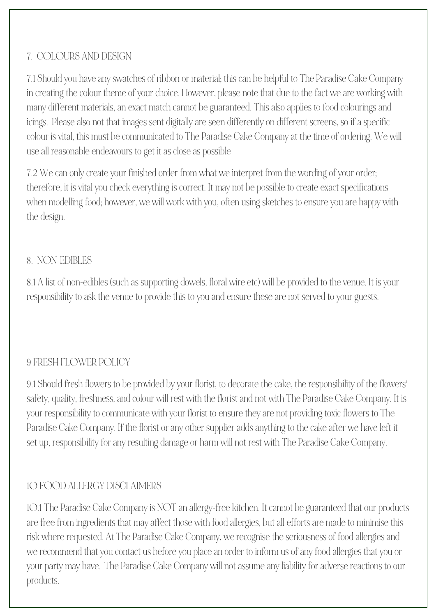## 7. COLOURS AND DESIGN

7.1 Should you have any swatches of ribbon or material; this can be helpful to The Paradise Cake Company in creating the colour theme of your choice. However, please note that due to the fact we are working with many different materials, an exact match cannot be guaranteed. This also applies to food colourings and icings. Please also not that images sent digitally are seen differently on different screens, so if a specific colour is vital, this must be communicated to The Paradise Cake Company at the time of ordering. We will use all reasonable endeavours to get it as close as possible

7.2 We can only create your finished order from what we interpret from the wording of your order; therefore, it is vital you check everything is correct. It may not be possible to create exact specifications when modelling food; however, we will work with you, often using sketches to ensure you are happy with the design.

#### 8. NON-EDIBLES

8.1 A list of non-edibles (such as supporting dowels, floral wire etc) will be provided to the venue. It is your responsibility to ask the venue to provide this to you and ensure these are not served to your guests.

## 9 FRESH FLOWER POLICY

9.1 Should fresh flowers to be provided by your florist, to decorate the cake, the responsibility of the flowers' safety, quality, freshness, and colour will rest with the florist and not with The Paradise Cake Company. It is your responsibility to communicate with your florist to ensure they are not providing toxic flowers to The Paradise Cake Company. If the florist or any other supplier adds anything to the cake after we have left it set up, responsibility for any resulting damage or harm will not rest with The Paradise Cake Company.

## 10 FOOD ALLERGY DISCLAIMERS

10.1 The Paradise Cake Company is NOT an allergy-free kitchen. It cannot be guaranteed that our products are free from ingredients that may affect those with food allergies, but all efforts are made to minimise this risk where requested. At The Paradise Cake Company, we recognise the seriousness of food allergies and we recommend that you contact us before you place an order to inform us of any food allergies that you or your party may have. The Paradise Cake Company will not assume any liability for adverse reactions to our products.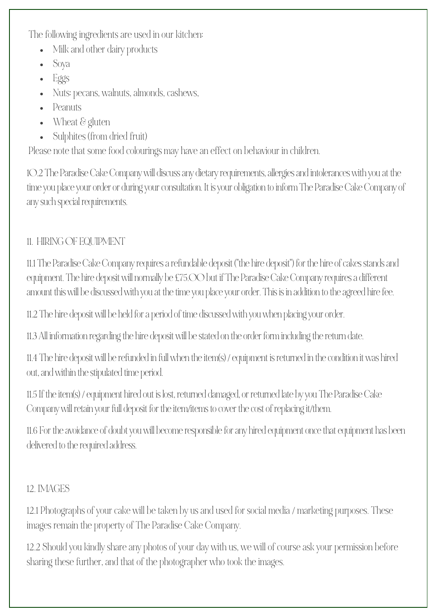The following ingredients are used in our kitchen:

- Milk and other dairy products
- Soya
- Eggs
- Nuts: pecans, walnuts, almonds, cashews,
- Peanuts
- Wheat  $\&$  gluten
- Sulphites (from dried fruit)

Please note that some food colourings may have an effect on behaviour in children.

10.2 The Paradise Cake Company will discuss any dietary requirements, allergies and intolerances with you at the time you place your order or during your consultation. It is your obligation to inform The Paradise Cake Company of any such special requirements.

#### 11. HIRING OF EQUIPMENT

11.1 The Paradise Cake Company requires a refundable deposit ("the hire deposit") for the hire of cakes stands and equipment. The hire deposit will normally be £75.00 but if The Paradise Cake Company requires a different amount this will be discussed with you at the time you place your order. This is in addition to the agreed hire fee.

11.2 The hire deposit will be held for a period of time discussed with you when placing your order.

11.3 All information regarding the hire deposit will be stated on the order form including the return date.

11.4 The hire deposit will be refunded in full when the item(s) / equipment is returned in the condition it was hired out, and within the stipulated time period.

11.5 If the item(s) / equipment hired out is lost, returned damaged, or returned late by you The Paradise Cake Company will retain your full deposit for the item/items to cover the cost of replacing it/them.

11.6 For the avoidance of doubt you will become responsible for any hired equipment once that equipment has been delivered to the required address.

## 12. IMAGES

12.1 Photographs of your cake will be taken by us and used for social media / marketing purposes. These images remain the property of The Paradise Cake Company.

12.2 Should you kindly share any photos of your day with us, we will of course ask your permission before sharing these further, and that of the photographer who took the images.